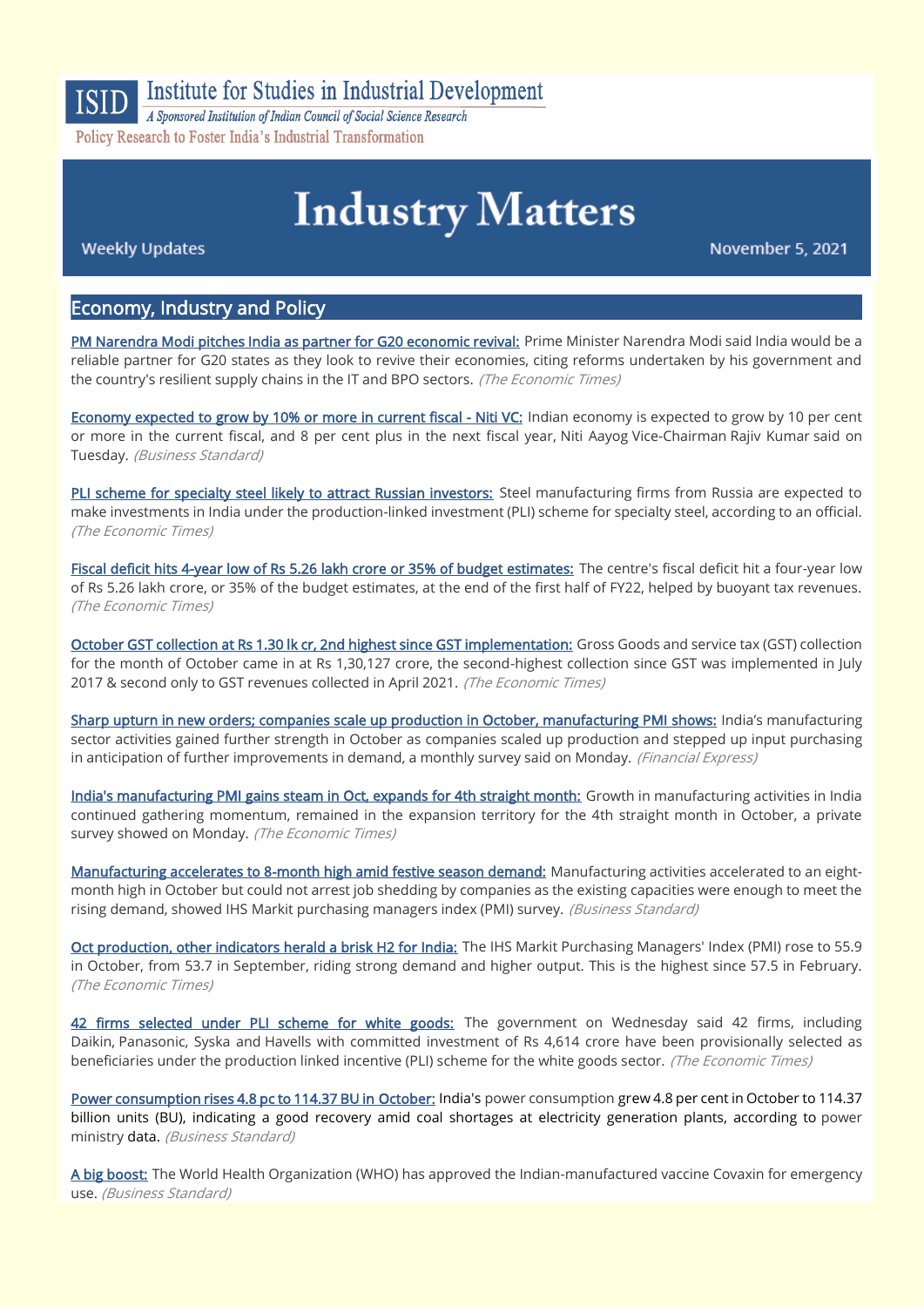

Institute for Studies in Industrial Development

A Sponsored Institution of Indian Council of Social Science Research Policy Research to Foster India's Industrial Transformation

# **Industry Matters**

**Weekly Updates** 

November 5, 2021

## Economy, Industry and Policy

[PM Narendra Modi pitches India as partner for G20 economic revival:](https://economictimes.indiatimes.com/news/economy/policy/pm-narendra-modi-pitches-india-as-partner-for-g20-economic-revival/articleshow/87413818.cms) Prime Minister Narendra Modi said India would be a reliable partner for G20 states as they look to revive their economies, citing reforms undertaken by his government and the country's resilient supply chains in the IT and BPO sectors. (The Economic Times)

[Economy expected to grow by 10% or more in current fiscal - Niti VC:](https://www.business-standard.com/article/economy-policy/economy-expected-to-grow-by-10-or-more-in-current-fiscal-niti-vc-121110201582_1.html) Indian economy is expected to grow by 10 per cent or more in the current fiscal, and 8 per cent plus in the next fiscal year, Niti Aayog Vice-Chairman Rajiv Kumar said on Tuesday. (Business Standard)

[PLI scheme for specialty steel likely to attract Russian investors:](https://economictimes.indiatimes.com/news/economy/policy/pli-scheme-for-specialty-steel-likely-to-attract-russian-investors/articleshow/87427405.cms) Steel manufacturing firms from Russia are expected to make investments in India under the production-linked investment (PLI) scheme for specialty steel, according to an official. (The Economic Times)

[Fiscal deficit hits 4-year low of Rs 5.26 lakh crore or 35% of budget estimates:](https://economictimes.indiatimes.com/news/economy/finance/fiscal-deficit-hits-4-year-low-of-rs-5-26-lakh-crore-or-35-of-budget-estimates/articleshow/87376953.cms) The centre's fiscal deficit hit a four-year low of Rs 5.26 lakh crore, or 35% of the budget estimates, at the end of the first half of FY22, helped by buoyant tax revenues. (The Economic Times)

[October GST collection at Rs 1.30 lk cr, 2nd highest since GST implementation:](https://economictimes.indiatimes.com/small-biz/gst/october-gst-collection-at-rs-1-30-lk-cr-2nd-highest-since-gst-implementation/articleshow/87459516.cms) Gross Goods and service tax (GST) collection for the month of October came in at Rs 1,30,127 crore, the second-highest collection since GST was implemented in July 2017 & second only to GST revenues collected in April 2021. (The Economic Times)

[Sharp upturn in new orders; companies scale up production in October, manufacturing PMI shows:](https://www.financialexpress.com/economy/sharp-upturn-in-new-orders-companies-scale-up-production-in-october-manufacturing-pmi-shows/2360978/) India's manufacturing sector activities gained further strength in October as companies scaled up production and stepped up input purchasing in anticipation of further improvements in demand, a monthly survey said on Monday. (Financial Express)

[India's manufacturing PMI gains steam in Oct, expands for 4th straight month:](https://economictimes.indiatimes.com/news/economy/indicators/indias-manufacturing-pmi-gains-steam-in-oct-expands-at-a-quicker-pace/articleshow/87453729.cms?from=mdr) Growth in manufacturing activities in India continued gathering momentum, remained in the expansion territory for the 4th straight month in October, a private survey showed on Monday. (The Economic Times)

[Manufacturing accelerates to 8-month high amid festive season demand:](https://www.business-standard.com/article/economy-policy/pmi-manufacturing-accelerates-to-8-month-high-amid-festive-season-demand-121110100430_1.html) Manufacturing activities accelerated to an eightmonth high in October but could not arrest job shedding by companies as the existing capacities were enough to meet the rising demand, showed IHS Markit purchasing managers index (PMI) survey. (Business Standard)

[Oct production, other indicators herald a brisk H2 for India:](https://economictimes.indiatimes.com/news/economy/indicators/oct-production-other-indicators-herald-a-brisk-h2-for-india/articleshow/87476231.cms) The IHS Markit Purchasing Managers' Index (PMI) rose to 55.9 in October, from 53.7 in September, riding strong demand and higher output. This is the highest since 57.5 in February. (The Economic Times)

[42 firms selected under PLI scheme for white goods:](https://economictimes.indiatimes.com/industry/cons-products/durables/42-firms-selected-under-pli-scheme-for-white-goods/articleshow/87511306.cms) The government on Wednesday said 42 firms, including Daikin, Panasonic, Syska and Havells with committed investment of Rs 4,614 crore have been provisionally selected as beneficiaries under the production linked incentive (PLI) scheme for the white goods sector. (The Economic Times)

[Power consumption rises 4.8 pc to 114.37 BU in October:](https://www.business-standard.com/article/pti-stories/power-consumption-rises-4-8-pc-to-114-37-bu-in-october-121110100500_1.html#:~:text=India) India's power consumption grew 4.8 per cent in October to 114.37 billion units (BU), indicating a good recovery amid coal shortages at electricity generation plants, according to power ministry data. (Business Standard)

[A big boost:](https://www.business-standard.com/article/opinion/a-big-boost-121110301863_1.html) The World Health Organization (WHO) has approved the Indian-manufactured vaccine Covaxin for emergency use. (Business Standard)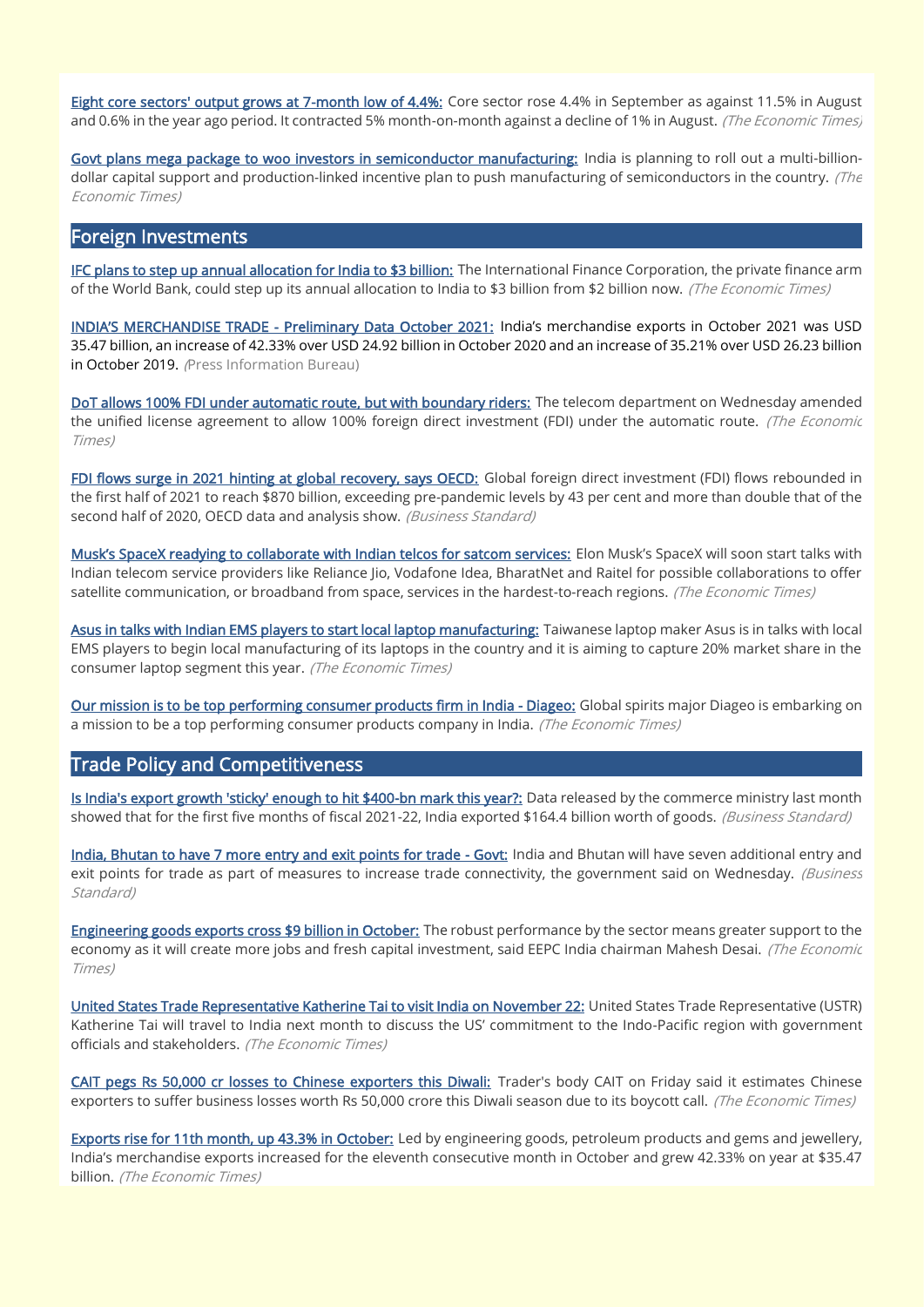[Eight core sectors' output grows at 7-month low of 4.4%:](https://economictimes.indiatimes.com/news/economy/indicators/eight-core-sectors-output-grows-at-7-month-low-of-4-4/articleshow/87377098.cms) Core sector rose 4.4% in September as against 11.5% in August and 0.6% in the year ago period. It contracted 5% month-on-month against a decline of 1% in August. (The Economic Times)

[Govt plans mega package to woo investors in semiconductor manufacturing:](https://economictimes.indiatimes.com/news/economy/policy/govt-plans-mega-package-to-woo-investors-in-semiconductor-manufacturing/articleshow/87461264.cms) India is planning to roll out a multi-billiondollar capital support and production-linked incentive plan to push manufacturing of semiconductors in the country. (The Economic Times)

## Foreign Investments

[IFC plans to step up annual allocation for India to \\$3 billion:](https://economictimes.indiatimes.com/news/economy/finance/ifc-plans-to-step-up-annual-allocation-for-india-to-3-billion/articleshow/87476572.cms) The International Finance Corporation, the private finance arm of the World Bank, could step up its annual allocation to India to \$3 billion from \$2 billion now. (The Economic Times)

INDIA'S MERCHANDISE TRADE [- Preliminary Data October 2021:](https://www.pib.gov.in/PressReleasePage.aspx?PRID=1768616) India's merchandise exports in October 2021 was USD 35.47 billion, an increase of 42.33% over USD 24.92 billion in October 2020 and an increase of 35.21% over USD 26.23 billion in October 2019. (Press Information Bureau)

[DoT allows 100% FDI under automatic route, but with boundary riders:](https://economictimes.indiatimes.com/industry/telecom/telecom-news/dot-allows-100-fdi-under-automatic-route-but-with-boundary-riders/articleshow/87509692.cms) The telecom department on Wednesday amended the unified license agreement to allow 100% foreign direct investment (FDI) under the automatic route. (The Economic Times)

[FDI flows surge in 2021 hinting at global recovery, says OECD:](https://www.business-standard.com/article/economy-policy/fdi-flows-surge-in-2021-hinting-at-global-recovery-says-oecd-121102901654_1.html) Global foreign direct investment (FDI) flows rebounded in the first half of 2021 to reach \$870 billion, exceeding pre-pandemic levels by 43 per cent and more than double that of the second half of 2020, OECD data and analysis show. (Business Standard)

[Musk's SpaceX readying to collaborate with Indian telcos for satcom services:](https://economictimes.indiatimes.com/industry/telecom/telecom-news/musks-spacex-readying-to-collaborate-with-indian-telcos-for-satcom-services/articleshow/87514083.cms) Elon Musk's SpaceX will soon start talks with Indian telecom service providers like Reliance Jio, Vodafone Idea, BharatNet and Raitel for possible collaborations to offer satellite communication, or broadband from space, services in the hardest-to-reach regions. (The Economic Times)

[Asus in talks with Indian EMS players to start local laptop manufacturing:](https://economictimes.indiatimes.com/industry/cons-products/electronics/asus-in-talks-with-indian-ems-players-to-start-local-laptop-manufacturing/articleshow/87463628.cms) Taiwanese laptop maker Asus is in talks with local EMS players to begin local manufacturing of its laptops in the country and it is aiming to capture 20% market share in the consumer laptop segment this year. (The Economic Times)

[Our mission is to be top performing consumer products firm in India - Diageo:](https://economictimes.indiatimes.com/industry/cons-products/liquor/our-mission-is-to-be-top-performing-consumer-products-firm-in-india-diageo/articleshow/87424687.cms) Global spirits major Diageo is embarking on a mission to be a top performing consumer products company in India. (The Economic Times)

# Trade Policy and Competitiveness

[Is India's export growth 'sticky' enough to hit \\$400-bn mark this year?:](https://www.business-standard.com/article/economy-policy/is-india-s-export-growth-sticky-enough-to-hit-400-bn-mark-this-year-121110301735_1.html) Data released by the commerce ministry last month showed that for the first five months of fiscal 2021-22, India exported \$164.4 billion worth of goods. (Business Standard)

[India, Bhutan to have 7 more entry and exit points for trade - Govt:](https://www.business-standard.com/article/economy-policy/india-bhutan-to-have-7-more-entry-and-exit-points-for-trade-govt-121110301690_1.html) India and Bhutan will have seven additional entry and exit points for trade as part of measures to increase trade connectivity, the government said on Wednesday. (Business Standard)

[Engineering goods exports cross \\$9 billion in October:](https://economictimes.indiatimes.com/news/economy/foreign-trade/engineering-goods-exports-cross-9-billion-in-october/articleshow/87470451.cms) The robust performance by the sector means greater support to the economy as it will create more jobs and fresh capital investment, said EEPC India chairman Mahesh Desai. (The Economic Times)

[United States Trade Representative Katherine Tai to visit India on November 22:](https://economictimes.indiatimes.com/news/economy/foreign-trade/united-states-trade-representative-katherine-tai-to-visit-india-on-november-22/articleshow/87387319.cms) United States Trade Representative (USTR) Katherine Tai will travel to India next month to discuss the US' commitment to the Indo-Pacific region with government officials and stakeholders. (The Economic Times)

[CAIT pegs Rs 50,000 cr losses to Chinese exporters this Diwali:](https://economictimes.indiatimes.com/small-biz/sme-sector/cait-pegs-rs-50000-cr-losses-to-chinese-exporters-this-diwali/articleshow/87387524.cms) Trader's body CAIT on Friday said it estimates Chinese exporters to suffer business losses worth Rs 50,000 crore this Diwali season due to its boycott call. (The Economic Times)

[Exports rise for 11th month, up 43.3% in October:](https://economictimes.indiatimes.com/news/economy/indicators/exports-rise-for-11th-month-up-43-3-in-october/articleshow/87469899.cms) Led by engineering goods, petroleum products and gems and jewellery, India's merchandise exports increased for the eleventh consecutive month in October and grew 42.33% on year at \$35.47 billion. (The Economic Times)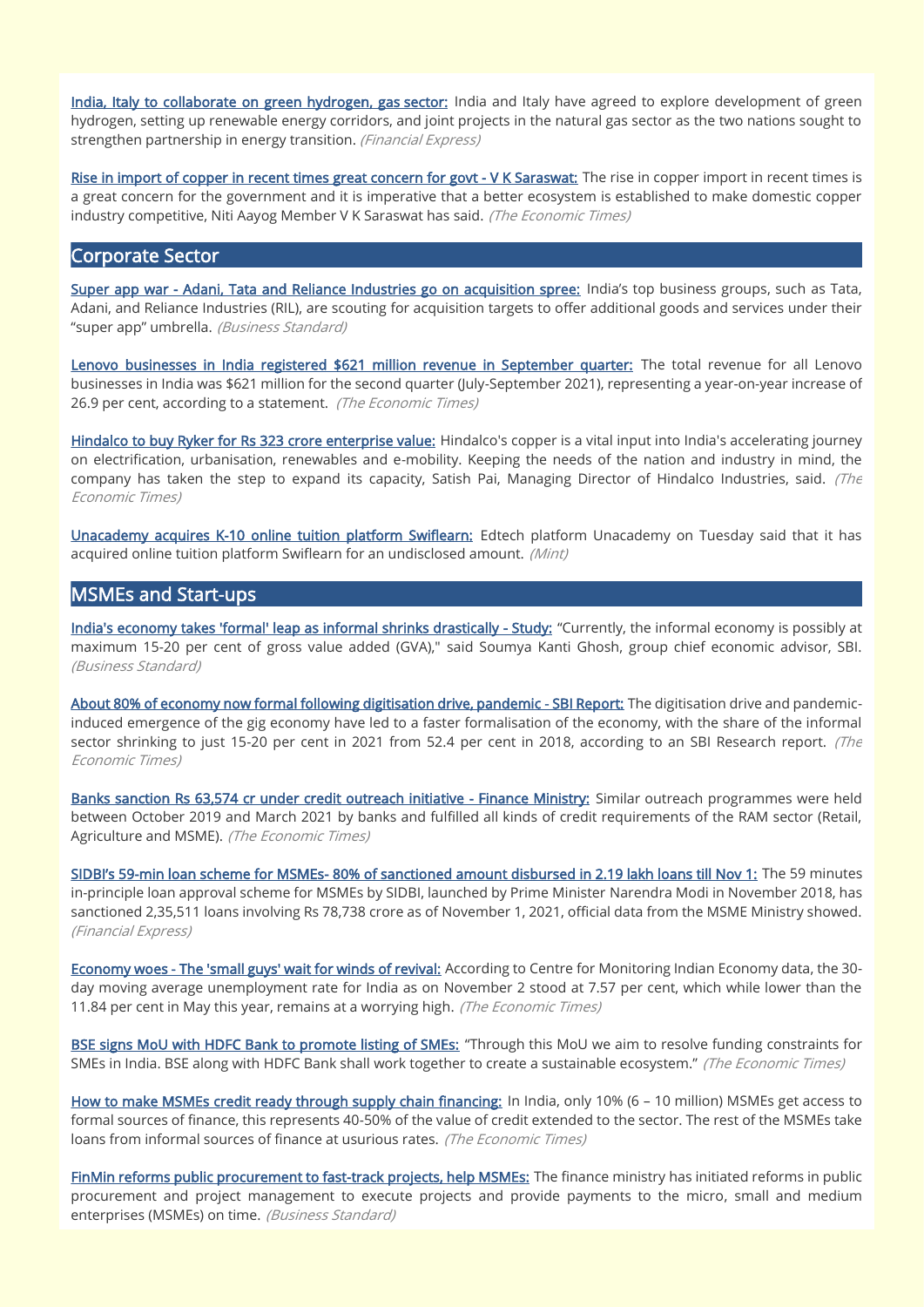[India, Italy to collaborate on green hydrogen, gas sector:](https://www.financialexpress.com/economy/india-italy-to-collaborate-on-green-hydrogen-gas-sector/2360104/) India and Italy have agreed to explore development of green hydrogen, setting up renewable energy corridors, and joint projects in the natural gas sector as the two nations sought to strengthen partnership in energy transition. (Financial Express)

[Rise in import of copper in recent times great concern for govt - V K Saraswat:](https://economictimes.indiatimes.com/industry/indl-goods/svs/metals-mining/rise-in-import-of-copper-in-recent-times-great-concern-for-govt-v-k-saraswat/articleshow/87419667.cms) The rise in copper import in recent times is a great concern for the government and it is imperative that a better ecosystem is established to make domestic copper industry competitive, Niti Aayog Member V K Saraswat has said. (The Economic Times)

#### Corporate Sector

[Super app war - Adani, Tata and Reliance Industries go on acquisition spree:](https://www.business-standard.com/article/companies/super-app-war-%E2%80%88adani-tata-and-reliance-industries-go-on-acquisition-spree-121103101055_1.html) India's top business groups, such as Tata, Adani, and Reliance Industries (RIL), are scouting for acquisition targets to offer additional goods and services under their "super app" umbrella. (Business Standard)

[Lenovo businesses in India registered \\$621 million revenue in September quarter:](https://economictimes.indiatimes.com/industry/cons-products/electronics/lenovo-businesses-in-india-registered-621-million-revenue-in-september-quarter/articleshow/87524963.cms) The total revenue for all Lenovo businesses in India was \$621 million for the second quarter (July-September 2021), representing a year-on-year increase of 26.9 per cent, according to a statement. (The Economic Times)

[Hindalco to buy Ryker for Rs 323 crore enterprise value:](https://economictimes.indiatimes.com/industry/indl-goods/svs/metals-mining/hindalco-to-buy-ryker-for-rs-323-crore-enterprise-value/articleshow/87508698.cms) Hindalco's copper is a vital input into India's accelerating journey on electrification, urbanisation, renewables and e-mobility. Keeping the needs of the nation and industry in mind, the company has taken the step to expand its capacity, Satish Pai, Managing Director of Hindalco Industries, said.  $(The$ Economic Times)

[Unacademy acquires K-10 online tuition platform Swiflearn:](https://www.livemint.com/companies/start-ups/unacademy-acquires-k-10-online-tuition-platform-swiflearn-11635870080544.html) Edtech platform Unacademy on Tuesday said that it has acquired online tuition platform Swiflearn for an undisclosed amount. (Mint)

#### MSMEs and Start-ups

[India's economy takes 'formal' leap as informal shrinks drastically - Study:](https://www.business-standard.com/article/economy-policy/india-s-economy-takes-formal-leap-as-informal-shrinks-drastically-study-121110100010_1.html) "Currently, the informal economy is possibly at maximum 15-20 per cent of gross value added (GVA)," said Soumya Kanti Ghosh, group chief economic advisor, SBI. (Business Standard)

[About 80% of economy now formal following digitisation drive, pandemic - SBI Report:](https://economictimes.indiatimes.com/news/economy/policy/about-80-of-economy-now-formal-following-digitisation-drive-pandemic-sbi-report/articleshow/87463808.cms) The digitisation drive and pandemicinduced emergence of the gig economy have led to a faster formalisation of the economy, with the share of the informal sector shrinking to just 15-20 per cent in 2021 from 52.4 per cent in 2018, according to an SBI Research report. (The Economic Times)

[Banks sanction Rs 63,574 cr under credit outreach initiative - Finance Ministry:](https://economictimes.indiatimes.com/small-biz/sme-sector/banks-sanction-rs-63574-cr-under-credit-outreach-initiative-finance-ministry/articleshow/87501641.cms) Similar outreach programmes were held between October 2019 and March 2021 by banks and fulfilled all kinds of credit requirements of the RAM sector (Retail, Agriculture and MSME). (The Economic Times)

SIDBI's 59[-min loan scheme for MSMEs- 80% of sanctioned amount disbursed in 2.19 lakh loans till Nov 1:](https://www.financialexpress.com/industry/sme/msme-fin-sidbis-59-min-loan-scheme-for-msmes-80-of-sanctioned-amount-disbursed-in-2-19-lakh-loans-till-nov-1/2362373/) The 59 minutes in-principle loan approval scheme for MSMEs by SIDBI, launched by Prime Minister Narendra Modi in November 2018, has sanctioned 2,35,511 loans involving Rs 78,738 crore as of November 1, 2021, official data from the MSME Ministry showed. (Financial Express)

[Economy woes - The 'small guys' wait for winds of revival:](https://economictimes.indiatimes.com/news/economy/indicators/economy-woes-the-small-guys-wait-for-winds-of-revival/articleshow/87503404.cms) According to Centre for Monitoring Indian Economy data, the 30day moving average unemployment rate for India as on November 2 stood at 7.57 per cent, which while lower than the 11.84 per cent in May this year, remains at a worrying high. (The Economic Times)

[BSE signs MoU with HDFC Bank to promote listing of SMEs:](https://economictimes.indiatimes.com/small-biz/sme-sector/bse-signs-mou-with-hdfc-bank-to-promote-listing-smes/articleshow/87486258.cms) "Through this MoU we aim to resolve funding constraints for SMEs in India. BSE along with HDFC Bank shall work together to create a sustainable ecosystem." (The Economic Times)

[How to make MSMEs credit ready through supply chain financing:](https://economictimes.indiatimes.com/small-biz/sme-sector/how-to-make-msmes-credit-ready-through-supply-chain-financing/articleshow/87388836.cms) In India, only 10% (6 – 10 million) MSMEs get access to formal sources of finance, this represents 40-50% of the value of credit extended to the sector. The rest of the MSMEs take loans from informal sources of finance at usurious rates. (The Economic Times)

[FinMin reforms public procurement to fast-](https://www.business-standard.com/article/economy-policy/finmin-reforms-public-procurement-to-fast-track%E2%80%88projects-help-msmes-121103000030_1.html)track projects, help MSMEs: The finance ministry has initiated reforms in public procurement and project management to execute projects and provide payments to the micro, small and medium enterprises (MSMEs) on time. (Business Standard)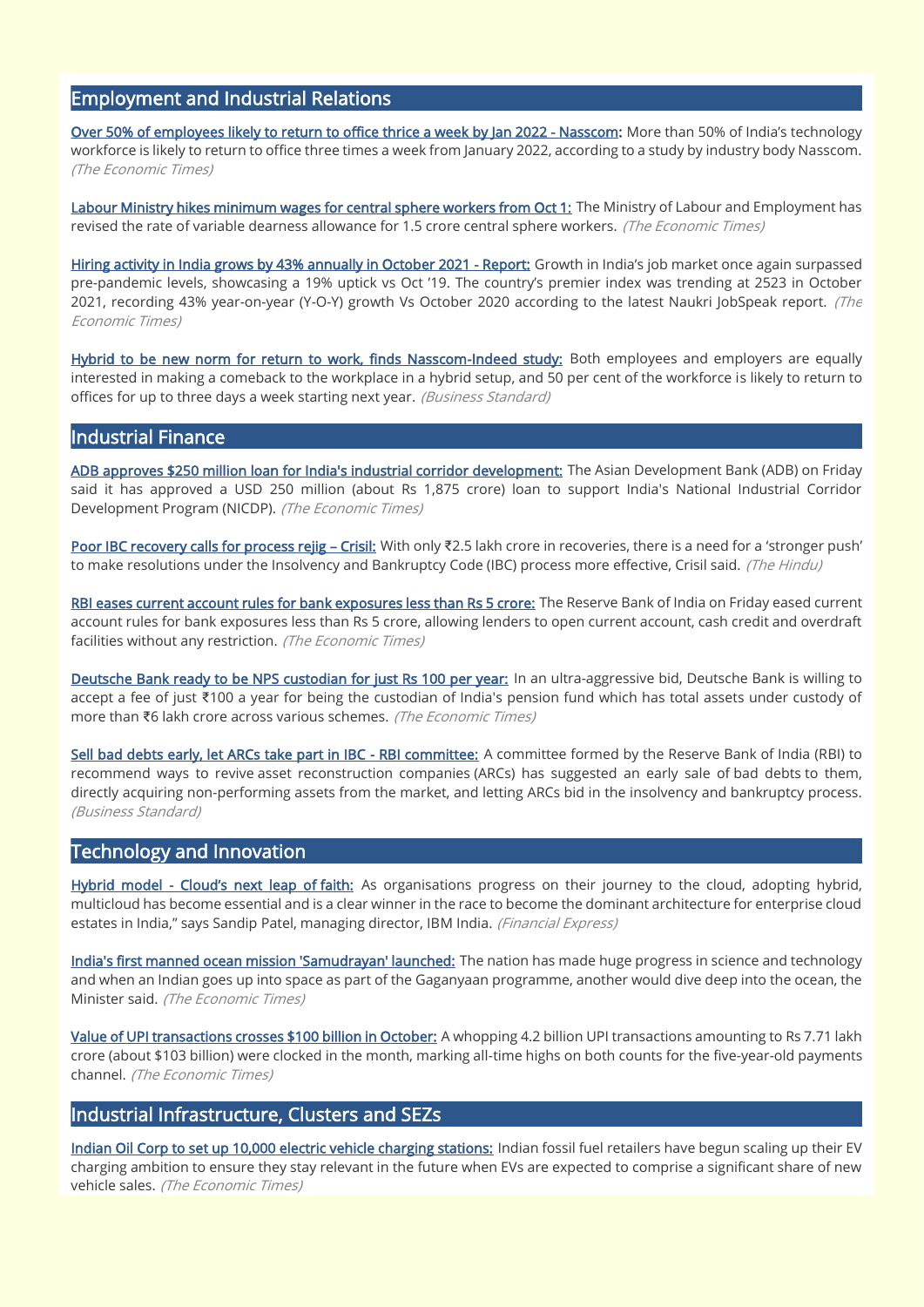# Employment and Industrial Relations

[Over 50% of employees likely to return to office thrice a week by Jan 2022 - Nasscom:](https://economictimes.indiatimes.com/tech/information-tech/over-50-of-employees-likely-to-return-to-office-thrice-a-week-by-jan-2022-nasscom/articleshow/87459192.cms) More than 50% of India's technology workforce is likely to return to office three times a week from January 2022, according to a study by industry body Nasscom. (The Economic Times)

[Labour Ministry hikes minimum wages for central sphere workers from Oct 1:](https://economictimes.indiatimes.com/news/economy/policy/labour-ministry-hikes-minimum-wages-for-central-sphere-workers-from-oct-1/articleshow/87356117.cms) The Ministry of Labour and Employment has revised the rate of variable dearness allowance for 1.5 crore central sphere workers. (The Economic Times)

[Hiring activity in India grows by 43% annually in October 2021 - Report:](https://economictimes.indiatimes.com/jobs/hiring-activity-in-india-grows-by-43-annually-in-oct-2021-report/articleshow/87483314.cms) Growth in India's job market once again surpassed pre-pandemic levels, showcasing a 19% uptick vs Oct '19. The country's premier index was trending at 2523 in October 2021, recording 43% year-on-year (Y-O-Y) growth Vs October 2020 according to the latest Naukri JobSpeak report. (The Economic Times)

[Hybrid to be new norm for return to work, finds Nasscom-Indeed study:](https://www.business-standard.com/article/economy-policy/hybrid-to-be-new-norm-for-return-to-work-finds-nasscom-indeed-study-121110100541_1.html) Both employees and employers are equally interested in making a comeback to the workplace in a hybrid setup, and 50 per cent of the workforce is likely to return to offices for up to three days a week starting next year. (Business Standard)

## Industrial Finance

[ADB approves \\$250 million loan for India's industrial corridor development:](https://economictimes.indiatimes.com/news/economy/finance/adb-approves-250-million-loan-for-indias-industrial-corridor-development/articleshow/87372885.cms) The Asian Development Bank (ADB) on Friday said it has approved a USD 250 million (about Rs 1,875 crore) loan to support India's National Industrial Corridor Development Program (NICDP). (The Economic Times)

[Poor IBC recovery calls for process rejig](https://www.thehindu.com/business/Industry/poor-ibc-recovery-calls-for-process-rejig-crisil/article37330180.ece) – Crisil: With only ₹2.5 lakh crore in recoveries, there is a need for a 'stronger push' to make resolutions under the Insolvency and Bankruptcy Code (IBC) process more effective, Crisil said. (The Hindu)

[RBI eases current account rules for bank exposures less than Rs 5 crore:](https://economictimes.indiatimes.com/industry/banking/finance/banking/rbi-ease-current-account-rules-for-bank-exposures-less-than-rs-5-crore/articleshow/87370454.cms) The Reserve Bank of India on Friday eased current account rules for bank exposures less than Rs 5 crore, allowing lenders to open current account, cash credit and overdraft facilities without any restriction. (The Economic Times)

[Deutsche Bank ready to be NPS custodian for just Rs 100 per year:](https://economictimes.indiatimes.com/industry/banking/finance/banking/deutsche-bank-ready-to-be-nps-custodian-for-just-rs-100-per-year/articleshow/87476164.cms) In an ultra-aggressive bid, Deutsche Bank is willing to accept a fee of just ₹100 a year for being the custodian of India's pension fund which has total assets under custody of more than ₹6 lakh crore across various schemes. (The Economic Times)

[Sell bad debts early, let ARCs take part in IBC - RBI committee:](https://www.business-standard.com/article/economy-policy/sell-bad-debts-early-let-arcs-take-part-in-ibc-rbi-committee-121110201854_1.html) A committee formed by the Reserve Bank of India (RBI) to recommend ways to revive asset reconstruction companies (ARCs) has suggested an early sale of bad debts to them, directly acquiring non-performing assets from the market, and letting ARCs bid in the insolvency and bankruptcy process. (Business Standard)

## Technology and Innovation

Hybrid model - [Cloud's next leap of](https://www.financialexpress.com/industry/technology/hybrid-model-clouds-next-leap-of-faith/2362896/) faith: As organisations progress on their journey to the cloud, adopting hybrid, multicloud has become essential and is a clear winner in the race to become the dominant architecture for enterprise cloud estates in India," says Sandip Patel, managing director, IBM India. (Financial Express)

[India's first manned ocean mission 'Samudrayan' launched:](https://economictimes.indiatimes.com/news/science/indias-first-manned-ocean-mission-samudrayan-launched/articleshow/87375176.cms) The nation has made huge progress in science and technology and when an Indian goes up into space as part of the Gaganyaan programme, another would dive deep into the ocean, the Minister said. (The Economic Times)

[Value of UPI transactions crosses \\$100 billion in October:](https://economictimes.indiatimes.com/tech/tech-bytes/value-of-upi-transactions-crosses-100-billion-in-october/articleshow/87461168.cms) A whopping 4.2 billion UPI transactions amounting to Rs 7.71 lakh crore (about \$103 billion) were clocked in the month, marking all-time highs on both counts for the five-year-old payments channel. (The Economic Times)

## Industrial Infrastructure, Clusters and SEZs

[Indian Oil Corp to set up 10,000 electric vehicle charging stations:](https://economictimes.indiatimes.com/industry/renewables/indian-oil-corp-to-set-up-10000-electric-vehicle-charging-stations/articleshow/87513271.cms) Indian fossil fuel retailers have begun scaling up their EV charging ambition to ensure they stay relevant in the future when EVs are expected to comprise a significant share of new vehicle sales. (The Economic Times)